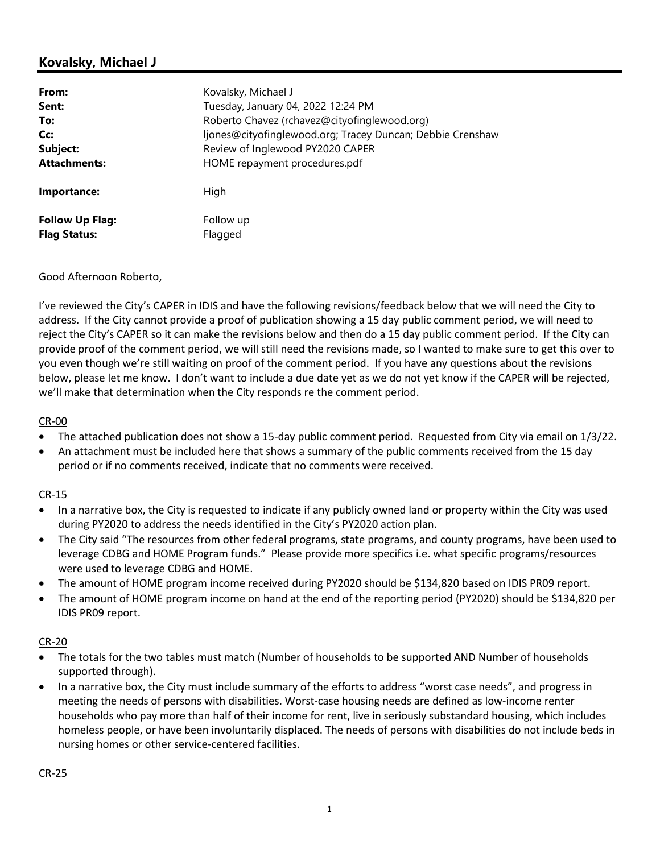# **Kovalsky, Michael J**

| From:                                         | Kovalsky, Michael J                                        |
|-----------------------------------------------|------------------------------------------------------------|
| Sent:                                         | Tuesday, January 04, 2022 12:24 PM                         |
| To:                                           | Roberto Chavez (rchavez@cityofinglewood.org)               |
| Cc:                                           | ljones@cityofinglewood.org; Tracey Duncan; Debbie Crenshaw |
| Subject:                                      | Review of Inglewood PY2020 CAPER                           |
| <b>Attachments:</b>                           | HOME repayment procedures.pdf                              |
| Importance:                                   | High                                                       |
| <b>Follow Up Flag:</b><br><b>Flag Status:</b> | Follow up<br>Flagged                                       |

## Good Afternoon Roberto,

I've reviewed the City's CAPER in IDIS and have the following revisions/feedback below that we will need the City to address. If the City cannot provide a proof of publication showing a 15 day public comment period, we will need to reject the City's CAPER so it can make the revisions below and then do a 15 day public comment period. If the City can provide proof of the comment period, we will still need the revisions made, so I wanted to make sure to get this over to you even though we're still waiting on proof of the comment period. If you have any questions about the revisions below, please let me know. I don't want to include a due date yet as we do not yet know if the CAPER will be rejected, we'll make that determination when the City responds re the comment period.

## CR-00

- The attached publication does not show a 15-day public comment period. Requested from City via email on 1/3/22.
- An attachment must be included here that shows a summary of the public comments received from the 15 day period or if no comments received, indicate that no comments were received.

## CR-15

- In a narrative box, the City is requested to indicate if any publicly owned land or property within the City was used during PY2020 to address the needs identified in the City's PY2020 action plan.
- The City said "The resources from other federal programs, state programs, and county programs, have been used to leverage CDBG and HOME Program funds." Please provide more specifics i.e. what specific programs/resources were used to leverage CDBG and HOME.
- The amount of HOME program income received during PY2020 should be \$134,820 based on IDIS PR09 report.
- The amount of HOME program income on hand at the end of the reporting period (PY2020) should be \$134,820 per IDIS PR09 report.

## CR-20

- The totals for the two tables must match (Number of households to be supported AND Number of households supported through).
- In a narrative box, the City must include summary of the efforts to address "worst case needs", and progress in meeting the needs of persons with disabilities. Worst-case housing needs are defined as low-income renter households who pay more than half of their income for rent, live in seriously substandard housing, which includes homeless people, or have been involuntarily displaced. The needs of persons with disabilities do not include beds in nursing homes or other service-centered facilities.

## CR-25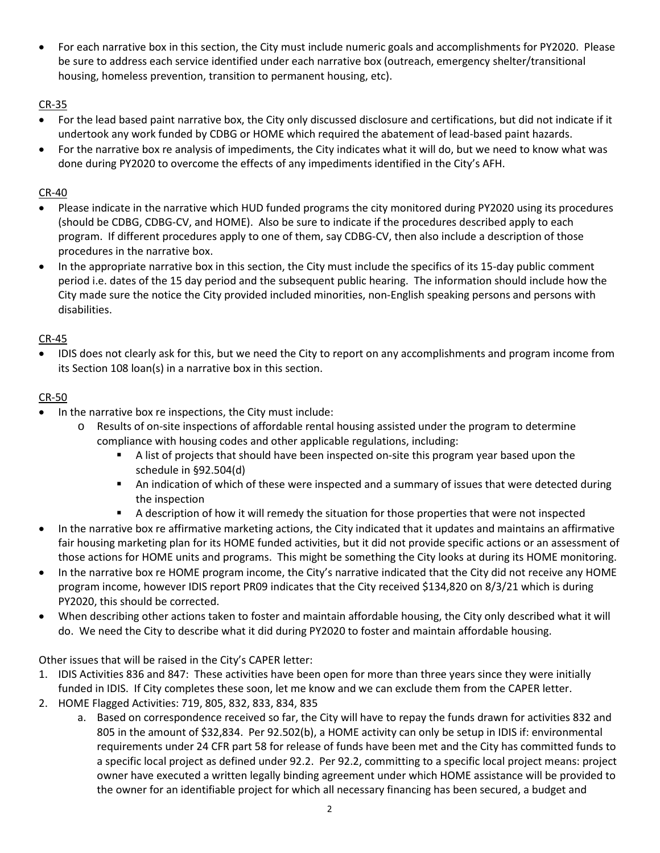For each narrative box in this section, the City must include numeric goals and accomplishments for PY2020. Please be sure to address each service identified under each narrative box (outreach, emergency shelter/transitional housing, homeless prevention, transition to permanent housing, etc).

## CR-35

- For the lead based paint narrative box, the City only discussed disclosure and certifications, but did not indicate if it undertook any work funded by CDBG or HOME which required the abatement of lead-based paint hazards.
- For the narrative box re analysis of impediments, the City indicates what it will do, but we need to know what was done during PY2020 to overcome the effects of any impediments identified in the City's AFH.

## CR-40

- Please indicate in the narrative which HUD funded programs the city monitored during PY2020 using its procedures (should be CDBG, CDBG-CV, and HOME). Also be sure to indicate if the procedures described apply to each program. If different procedures apply to one of them, say CDBG-CV, then also include a description of those procedures in the narrative box.
- In the appropriate narrative box in this section, the City must include the specifics of its 15-day public comment period i.e. dates of the 15 day period and the subsequent public hearing. The information should include how the City made sure the notice the City provided included minorities, non-English speaking persons and persons with disabilities.

## CR-45

• IDIS does not clearly ask for this, but we need the City to report on any accomplishments and program income from its Section 108 loan(s) in a narrative box in this section.

## CR-50

- In the narrative box re inspections, the City must include:
	- o Results of on-site inspections of affordable rental housing assisted under the program to determine compliance with housing codes and other applicable regulations, including:
		- **A list of projects that should have been inspected on-site this program year based upon the** schedule in §92.504(d)
		- An indication of which of these were inspected and a summary of issues that were detected during the inspection
		- A description of how it will remedy the situation for those properties that were not inspected
- In the narrative box re affirmative marketing actions, the City indicated that it updates and maintains an affirmative fair housing marketing plan for its HOME funded activities, but it did not provide specific actions or an assessment of those actions for HOME units and programs. This might be something the City looks at during its HOME monitoring.
- In the narrative box re HOME program income, the City's narrative indicated that the City did not receive any HOME program income, however IDIS report PR09 indicates that the City received \$134,820 on 8/3/21 which is during PY2020, this should be corrected.
- When describing other actions taken to foster and maintain affordable housing, the City only described what it will do. We need the City to describe what it did during PY2020 to foster and maintain affordable housing.

Other issues that will be raised in the City's CAPER letter:

- 1. IDIS Activities 836 and 847: These activities have been open for more than three years since they were initially funded in IDIS. If City completes these soon, let me know and we can exclude them from the CAPER letter.
- 2. HOME Flagged Activities: 719, 805, 832, 833, 834, 835
	- a. Based on correspondence received so far, the City will have to repay the funds drawn for activities 832 and 805 in the amount of \$32,834. Per 92.502(b), a HOME activity can only be setup in IDIS if: environmental requirements under 24 CFR part 58 for release of funds have been met and the City has committed funds to a specific local project as defined under 92.2. Per 92.2, committing to a specific local project means: project owner have executed a written legally binding agreement under which HOME assistance will be provided to the owner for an identifiable project for which all necessary financing has been secured, a budget and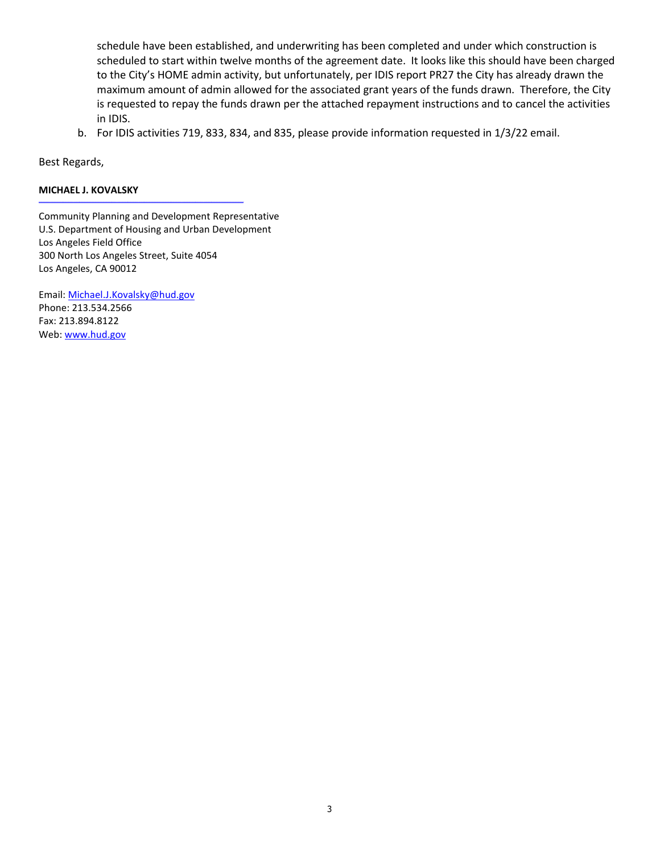schedule have been established, and underwriting has been completed and under which construction is scheduled to start within twelve months of the agreement date. It looks like this should have been charged to the City's HOME admin activity, but unfortunately, per IDIS report PR27 the City has already drawn the maximum amount of admin allowed for the associated grant years of the funds drawn. Therefore, the City is requested to repay the funds drawn per the attached repayment instructions and to cancel the activities in IDIS.

b. For IDIS activities 719, 833, 834, and 835, please provide information requested in 1/3/22 email.

Best Regards,

#### **MICHAEL J. KOVALSKY**

Community Planning and Development Representative U.S. Department of Housing and Urban Development Los Angeles Field Office 300 North Los Angeles Street, Suite 4054 Los Angeles, CA 90012

\_\_\_\_\_\_\_\_\_\_\_\_\_\_\_\_\_\_\_\_\_\_\_\_\_\_\_\_\_\_\_\_\_\_\_\_\_\_\_\_\_\_\_\_\_\_\_\_\_\_\_\_\_\_\_\_\_\_\_\_\_\_\_\_\_\_\_\_\_\_\_\_\_\_\_\_

Email: Michael.J.Kovalsky@hud.gov Phone: 213.534.2566 Fax: 213.894.8122 Web: www.hud.gov